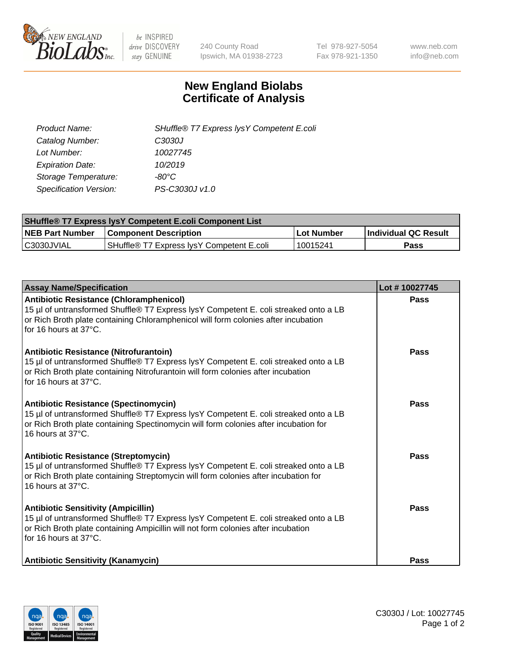

 $be$  INSPIRED drive DISCOVERY stay GENUINE

240 County Road Ipswich, MA 01938-2723 Tel 978-927-5054 Fax 978-921-1350 www.neb.com info@neb.com

## **New England Biolabs Certificate of Analysis**

| SHuffle® T7 Express lysY Competent E.coli |
|-------------------------------------------|
| C3030J                                    |
| 10027745                                  |
| 10/2019                                   |
| -80°C                                     |
| PS-C3030J v1.0                            |
|                                           |

| <b>SHuffle® T7 Express lysY Competent E.coli Component List</b> |                                           |                   |                             |  |
|-----------------------------------------------------------------|-------------------------------------------|-------------------|-----------------------------|--|
| <b>NEB Part Number</b>                                          | <b>Component Description</b>              | <b>Lot Number</b> | <b>Individual QC Result</b> |  |
| C3030JVIAL                                                      | SHuffle® T7 Express IysY Competent E.coli | 10015241          | Pass                        |  |

| <b>Assay Name/Specification</b>                                                                                                                                                                                                                   | Lot #10027745 |
|---------------------------------------------------------------------------------------------------------------------------------------------------------------------------------------------------------------------------------------------------|---------------|
| Antibiotic Resistance (Chloramphenicol)<br>15 µl of untransformed Shuffle® T7 Express lysY Competent E. coli streaked onto a LB<br>or Rich Broth plate containing Chloramphenicol will form colonies after incubation<br>for 16 hours at 37°C.    | Pass          |
| Antibiotic Resistance (Nitrofurantoin)<br>15 µl of untransformed Shuffle® T7 Express lysY Competent E. coli streaked onto a LB<br>or Rich Broth plate containing Nitrofurantoin will form colonies after incubation<br>for 16 hours at 37°C.      | Pass          |
| <b>Antibiotic Resistance (Spectinomycin)</b><br>15 µl of untransformed Shuffle® T7 Express lysY Competent E. coli streaked onto a LB<br>or Rich Broth plate containing Spectinomycin will form colonies after incubation for<br>16 hours at 37°C. | Pass          |
| <b>Antibiotic Resistance (Streptomycin)</b><br>15 µl of untransformed Shuffle® T7 Express lysY Competent E. coli streaked onto a LB<br>or Rich Broth plate containing Streptomycin will form colonies after incubation for<br>16 hours at 37°C.   | Pass          |
| <b>Antibiotic Sensitivity (Ampicillin)</b><br>15 µl of untransformed Shuffle® T7 Express lysY Competent E. coli streaked onto a LB<br>or Rich Broth plate containing Ampicillin will not form colonies after incubation<br>for 16 hours at 37°C.  | Pass          |
| <b>Antibiotic Sensitivity (Kanamycin)</b>                                                                                                                                                                                                         | Pass          |